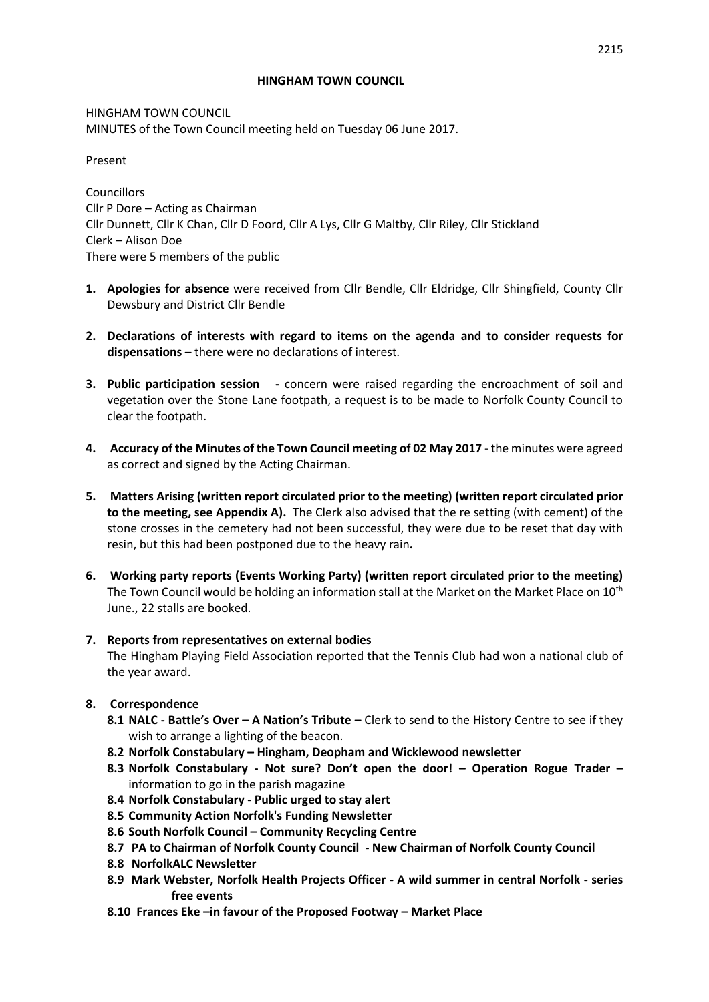#### **HINGHAM TOWN COUNCIL**

HINGHAM TOWN COUNCIL MINUTES of the Town Council meeting held on Tuesday 06 June 2017.

Present

Councillors Cllr P Dore – Acting as Chairman Cllr Dunnett, Cllr K Chan, Cllr D Foord, Cllr A Lys, Cllr G Maltby, Cllr Riley, Cllr Stickland Clerk – Alison Doe There were 5 members of the public

- **1. Apologies for absence** were received from Cllr Bendle, Cllr Eldridge, Cllr Shingfield, County Cllr Dewsbury and District Cllr Bendle
- **2. Declarations of interests with regard to items on the agenda and to consider requests for dispensations** – there were no declarations of interest.
- **3. Public participation session -** concern were raised regarding the encroachment of soil and vegetation over the Stone Lane footpath, a request is to be made to Norfolk County Council to clear the footpath.
- **4. Accuracy of the Minutes of the Town Council meeting of 02 May 2017** the minutes were agreed as correct and signed by the Acting Chairman.
- **5. Matters Arising (written report circulated prior to the meeting) (written report circulated prior to the meeting, see Appendix A).** The Clerk also advised that the re setting (with cement) of the stone crosses in the cemetery had not been successful, they were due to be reset that day with resin, but this had been postponed due to the heavy rain**.**
- **6. Working party reports (Events Working Party) (written report circulated prior to the meeting)** The Town Council would be holding an information stall at the Market on the Market Place on 10<sup>th</sup> June., 22 stalls are booked.

#### **7. Reports from representatives on external bodies**

The Hingham Playing Field Association reported that the Tennis Club had won a national club of the year award.

# **8. Correspondence**

- **8.1 NALC - Battle's Over – A Nation's Tribute –** Clerk to send to the History Centre to see if they wish to arrange a lighting of the beacon.
- **8.2 Norfolk Constabulary – Hingham, Deopham and Wicklewood newsletter**
- **8.3 Norfolk Constabulary - Not sure? Don't open the door! – Operation Rogue Trader –** information to go in the parish magazine
- **8.4 Norfolk Constabulary - Public urged to stay alert**
- **8.5 Community Action Norfolk's Funding Newsletter**
- **8.6 South Norfolk Council – Community Recycling Centre**
- **8.7 PA to Chairman of Norfolk County Council - New Chairman of Norfolk County Council**
- **8.8 NorfolkALC Newsletter**
- **8.9 Mark Webster, Norfolk Health Projects Officer - A wild summer in central Norfolk - series free events**
- **8.10 Frances Eke –in favour of the Proposed Footway – Market Place**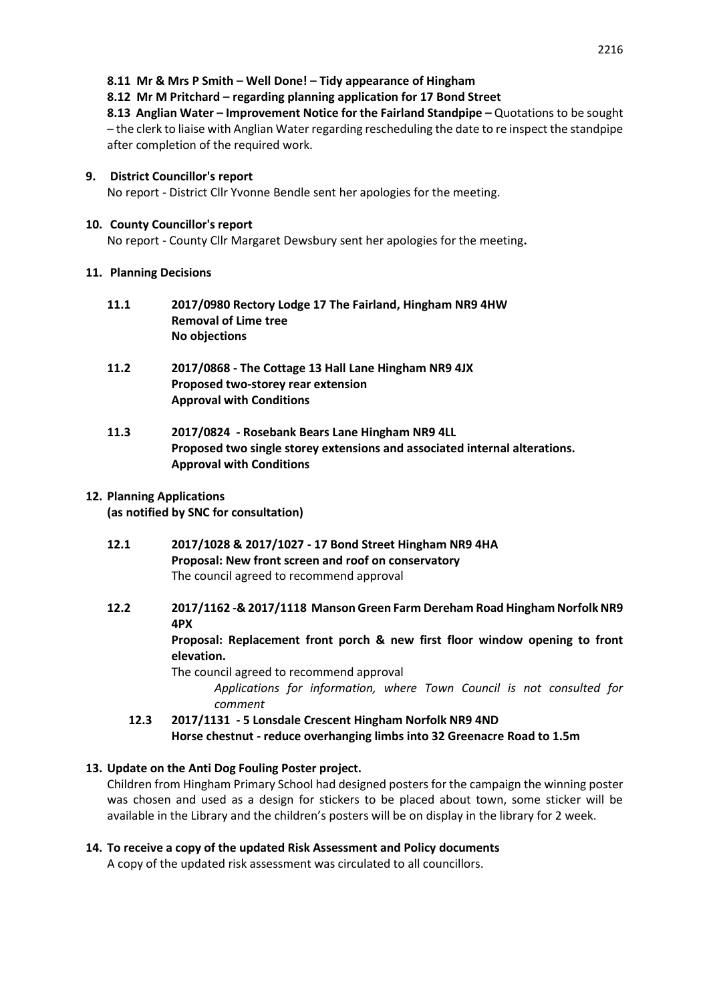**8.12 Mr M Pritchard – regarding planning application for 17 Bond Street**

**8.13 Anglian Water – Improvement Notice for the Fairland Standpipe –** Quotations to be sought – the clerk to liaise with Anglian Water regarding rescheduling the date to re inspect the standpipe after completion of the required work.

## **9. District Councillor's report**

No report - District Cllr Yvonne Bendle sent her apologies for the meeting.

### **10. County Councillor's report**

No report - County Cllr Margaret Dewsbury sent her apologies for the meeting**.** 

## **11. Planning Decisions**

- **11.1 2017/0980 Rectory Lodge 17 The Fairland, Hingham NR9 4HW Removal of Lime tree No objections**
- **11.2 2017/0868 - The Cottage 13 Hall Lane Hingham NR9 4JX Proposed two-storey rear extension Approval with Conditions**
- **11.3 2017/0824 - Rosebank Bears Lane Hingham NR9 4LL Proposed two single storey extensions and associated internal alterations. Approval with Conditions**

# **12. Planning Applications**

**(as notified by SNC for consultation)**

- **12.1 2017/1028 & 2017/1027 - 17 Bond Street Hingham NR9 4HA Proposal: New front screen and roof on conservatory** The council agreed to recommend approval
- **12.2 2017/1162 -& 2017/1118 Manson Green Farm Dereham Road Hingham Norfolk NR9 4PX**

**Proposal: Replacement front porch & new first floor window opening to front elevation.**

The council agreed to recommend approval

*Applications for information, where Town Council is not consulted for comment*

**12.3 2017/1131 - 5 Lonsdale Crescent Hingham Norfolk NR9 4ND Horse chestnut - reduce overhanging limbs into 32 Greenacre Road to 1.5m** 

# **13. Update on the Anti Dog Fouling Poster project.**

Children from Hingham Primary School had designed posters for the campaign the winning poster was chosen and used as a design for stickers to be placed about town, some sticker will be available in the Library and the children's posters will be on display in the library for 2 week.

# **14. To receive a copy of the updated Risk Assessment and Policy documents**

A copy of the updated risk assessment was circulated to all councillors.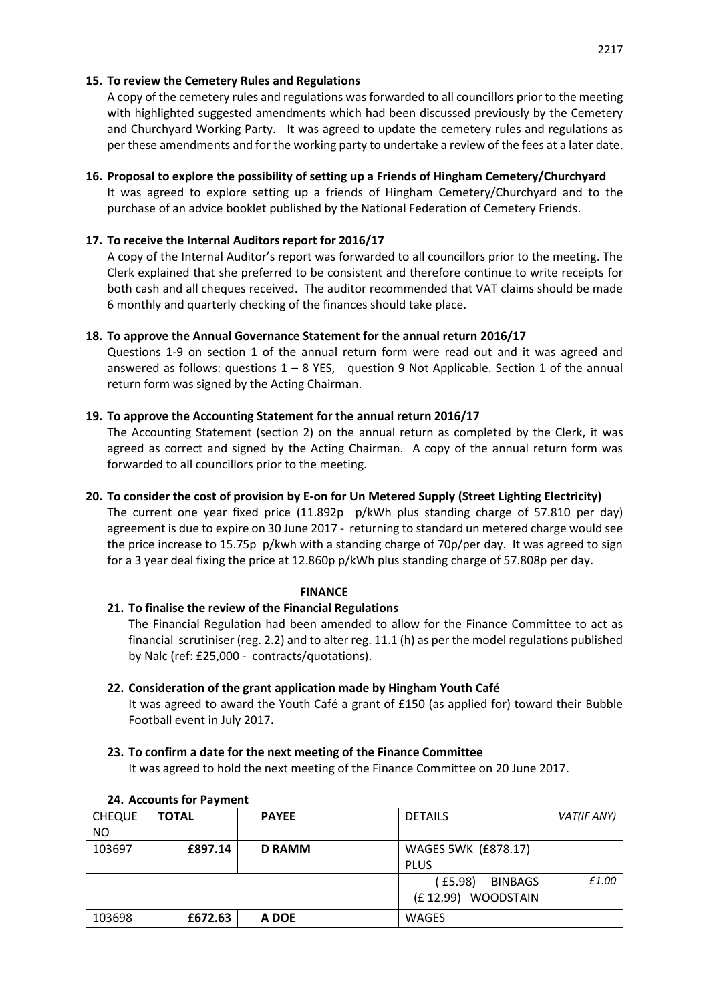## **15. To review the Cemetery Rules and Regulations**

A copy of the cemetery rules and regulations was forwarded to all councillors prior to the meeting with highlighted suggested amendments which had been discussed previously by the Cemetery and Churchyard Working Party. It was agreed to update the cemetery rules and regulations as per these amendments and for the working party to undertake a review of the fees at a later date.

## **16. Proposal to explore the possibility of setting up a Friends of Hingham Cemetery/Churchyard**

It was agreed to explore setting up a friends of Hingham Cemetery/Churchyard and to the purchase of an advice booklet published by the National Federation of Cemetery Friends.

## **17. To receive the Internal Auditors report for 2016/17**

A copy of the Internal Auditor's report was forwarded to all councillors prior to the meeting. The Clerk explained that she preferred to be consistent and therefore continue to write receipts for both cash and all cheques received. The auditor recommended that VAT claims should be made 6 monthly and quarterly checking of the finances should take place.

## **18. To approve the Annual Governance Statement for the annual return 2016/17**

Questions 1-9 on section 1 of the annual return form were read out and it was agreed and answered as follows: questions  $1 - 8$  YES, question 9 Not Applicable. Section 1 of the annual return form was signed by the Acting Chairman.

## **19. To approve the Accounting Statement for the annual return 2016/17**

The Accounting Statement (section 2) on the annual return as completed by the Clerk, it was agreed as correct and signed by the Acting Chairman. A copy of the annual return form was forwarded to all councillors prior to the meeting.

## **20. To consider the cost of provision by E-on for Un Metered Supply (Street Lighting Electricity)**

The current one year fixed price (11.892p p/kWh plus standing charge of 57.810 per day) agreement is due to expire on 30 June 2017 - returning to standard un metered charge would see the price increase to 15.75p p/kwh with a standing charge of 70p/per day. It was agreed to sign for a 3 year deal fixing the price at 12.860p p/kWh plus standing charge of 57.808p per day.

### **FINANCE**

# **21. To finalise the review of the Financial Regulations**

The Financial Regulation had been amended to allow for the Finance Committee to act as financial scrutiniser (reg. 2.2) and to alter reg. 11.1 (h) as per the model regulations published by Nalc (ref: £25,000 - contracts/quotations).

### **22. Consideration of the grant application made by Hingham Youth Café**

It was agreed to award the Youth Café a grant of £150 (as applied for) toward their Bubble Football event in July 2017**.**

#### **23. To confirm a date for the next meeting of the Finance Committee**

It was agreed to hold the next meeting of the Finance Committee on 20 June 2017.

| <b>CHEQUE</b> | <b>TOTAL</b> | <b>PAYEE</b>  | <b>DETAILS</b>             | VAT(IF ANY) |  |
|---------------|--------------|---------------|----------------------------|-------------|--|
| <b>NO</b>     |              |               |                            |             |  |
| 103697        | £897.14      | <b>D RAMM</b> | <b>WAGES 5WK (£878.17)</b> |             |  |
|               |              |               | <b>PLUS</b>                |             |  |
|               |              |               | (£5.98)<br><b>BINBAGS</b>  | £1.00       |  |
|               |              |               | (£12.99) WOODSTAIN         |             |  |
| 103698        | £672.63      | A DOE         | <b>WAGES</b>               |             |  |

#### **24. Accounts for Payment**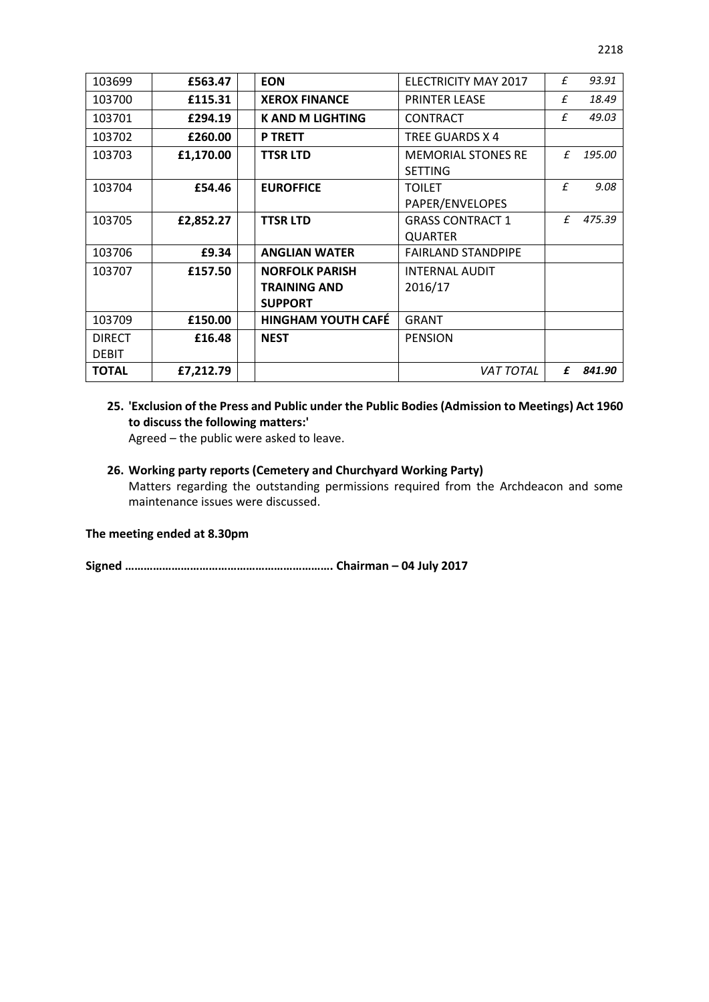| 103699        | £563.47   | <b>EON</b>                | <b>ELECTRICITY MAY 2017</b> | £            | 93.91  |
|---------------|-----------|---------------------------|-----------------------------|--------------|--------|
| 103700        | £115.31   | <b>XEROX FINANCE</b>      | <b>PRINTER LEASE</b>        | £            | 18.49  |
| 103701        | £294.19   | <b>K AND M LIGHTING</b>   | <b>CONTRACT</b>             | £            | 49.03  |
| 103702        | £260.00   | <b>P TRETT</b>            | TREE GUARDS X 4             |              |        |
| 103703        | £1,170.00 | <b>TTSR LTD</b>           | <b>MEMORIAL STONES RE</b>   | f            | 195.00 |
|               |           |                           | <b>SETTING</b>              |              |        |
| 103704        | £54.46    | <b>EUROFFICE</b>          | <b>TOILET</b>               | $\mathbf{f}$ | 9.08   |
|               |           |                           | PAPER/ENVELOPES             |              |        |
| 103705        | £2,852.27 | <b>TTSR LTD</b>           | <b>GRASS CONTRACT 1</b>     | £            | 475.39 |
|               |           |                           | <b>QUARTER</b>              |              |        |
| 103706        | £9.34     | <b>ANGLIAN WATER</b>      | <b>FAIRLAND STANDPIPE</b>   |              |        |
| 103707        | £157.50   | <b>NORFOLK PARISH</b>     | <b>INTERNAL AUDIT</b>       |              |        |
|               |           | <b>TRAINING AND</b>       | 2016/17                     |              |        |
|               |           | <b>SUPPORT</b>            |                             |              |        |
| 103709        | £150.00   | <b>HINGHAM YOUTH CAFÉ</b> | <b>GRANT</b>                |              |        |
| <b>DIRECT</b> | £16.48    | <b>NEST</b>               | <b>PENSION</b>              |              |        |
| <b>DEBIT</b>  |           |                           |                             |              |        |
| <b>TOTAL</b>  | £7,212.79 |                           | <b>VAT TOTAL</b>            | £            | 841.90 |
|               |           |                           |                             |              |        |

# **25. 'Exclusion of the Press and Public under the Public Bodies (Admission to Meetings) Act 1960 to discuss the following matters:'**

Agreed – the public were asked to leave.

#### **26. Working party reports (Cemetery and Churchyard Working Party)**

Matters regarding the outstanding permissions required from the Archdeacon and some maintenance issues were discussed.

#### **The meeting ended at 8.30pm**

**Signed …………………………………………………………. Chairman – 04 July 2017**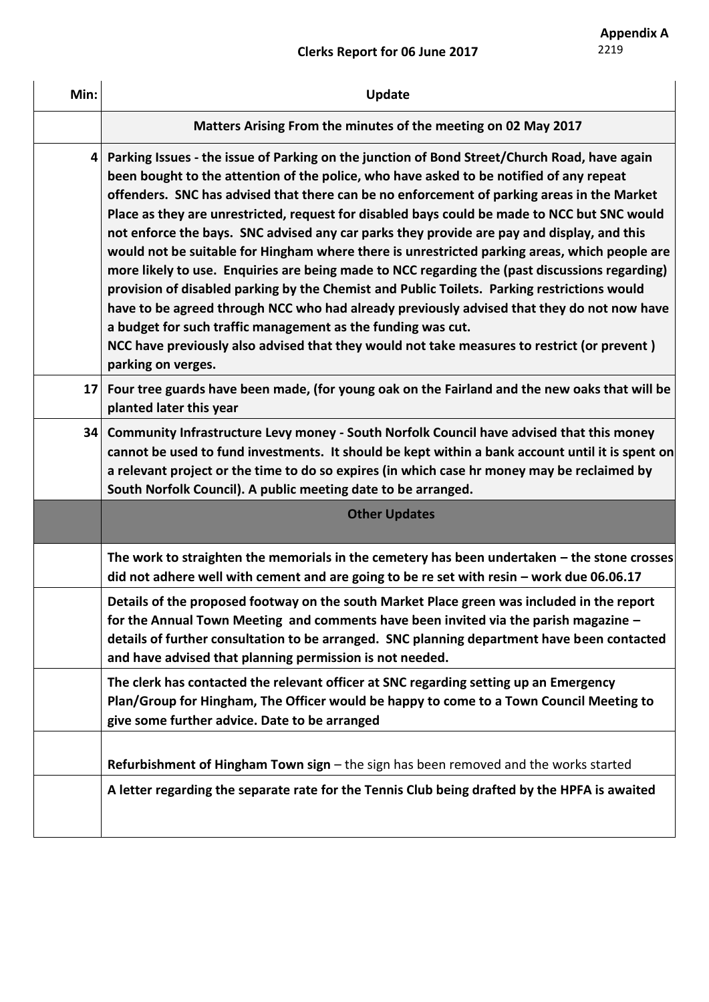# **Clerks Report for 06 June 2017**

| Min:           | Update                                                                                                                                                                                                                                                                                                                                                                                                                                                                                                                                                                                                                                                                                                                                                                                                                                                                                                                                                                                                                                                                   |
|----------------|--------------------------------------------------------------------------------------------------------------------------------------------------------------------------------------------------------------------------------------------------------------------------------------------------------------------------------------------------------------------------------------------------------------------------------------------------------------------------------------------------------------------------------------------------------------------------------------------------------------------------------------------------------------------------------------------------------------------------------------------------------------------------------------------------------------------------------------------------------------------------------------------------------------------------------------------------------------------------------------------------------------------------------------------------------------------------|
|                | Matters Arising From the minutes of the meeting on 02 May 2017                                                                                                                                                                                                                                                                                                                                                                                                                                                                                                                                                                                                                                                                                                                                                                                                                                                                                                                                                                                                           |
| 4 <sup>1</sup> | Parking Issues - the issue of Parking on the junction of Bond Street/Church Road, have again<br>been bought to the attention of the police, who have asked to be notified of any repeat<br>offenders. SNC has advised that there can be no enforcement of parking areas in the Market<br>Place as they are unrestricted, request for disabled bays could be made to NCC but SNC would<br>not enforce the bays. SNC advised any car parks they provide are pay and display, and this<br>would not be suitable for Hingham where there is unrestricted parking areas, which people are<br>more likely to use. Enquiries are being made to NCC regarding the (past discussions regarding)<br>provision of disabled parking by the Chemist and Public Toilets. Parking restrictions would<br>have to be agreed through NCC who had already previously advised that they do not now have<br>a budget for such traffic management as the funding was cut.<br>NCC have previously also advised that they would not take measures to restrict (or prevent)<br>parking on verges. |
| 17             | Four tree guards have been made, (for young oak on the Fairland and the new oaks that will be<br>planted later this year                                                                                                                                                                                                                                                                                                                                                                                                                                                                                                                                                                                                                                                                                                                                                                                                                                                                                                                                                 |
| 34             | Community Infrastructure Levy money - South Norfolk Council have advised that this money<br>cannot be used to fund investments. It should be kept within a bank account until it is spent on<br>a relevant project or the time to do so expires (in which case hr money may be reclaimed by<br>South Norfolk Council). A public meeting date to be arranged.                                                                                                                                                                                                                                                                                                                                                                                                                                                                                                                                                                                                                                                                                                             |
|                | <b>Other Updates</b>                                                                                                                                                                                                                                                                                                                                                                                                                                                                                                                                                                                                                                                                                                                                                                                                                                                                                                                                                                                                                                                     |
|                | The work to straighten the memorials in the cemetery has been undertaken – the stone crosses<br>did not adhere well with cement and are going to be re set with resin $-$ work due 06.06.17                                                                                                                                                                                                                                                                                                                                                                                                                                                                                                                                                                                                                                                                                                                                                                                                                                                                              |
|                | Details of the proposed footway on the south Market Place green was included in the report<br>for the Annual Town Meeting and comments have been invited via the parish magazine -<br>details of further consultation to be arranged. SNC planning department have been contacted<br>and have advised that planning permission is not needed.                                                                                                                                                                                                                                                                                                                                                                                                                                                                                                                                                                                                                                                                                                                            |
|                | The clerk has contacted the relevant officer at SNC regarding setting up an Emergency<br>Plan/Group for Hingham, The Officer would be happy to come to a Town Council Meeting to<br>give some further advice. Date to be arranged                                                                                                                                                                                                                                                                                                                                                                                                                                                                                                                                                                                                                                                                                                                                                                                                                                        |
|                | Refurbishment of Hingham Town sign - the sign has been removed and the works started                                                                                                                                                                                                                                                                                                                                                                                                                                                                                                                                                                                                                                                                                                                                                                                                                                                                                                                                                                                     |
|                | A letter regarding the separate rate for the Tennis Club being drafted by the HPFA is awaited                                                                                                                                                                                                                                                                                                                                                                                                                                                                                                                                                                                                                                                                                                                                                                                                                                                                                                                                                                            |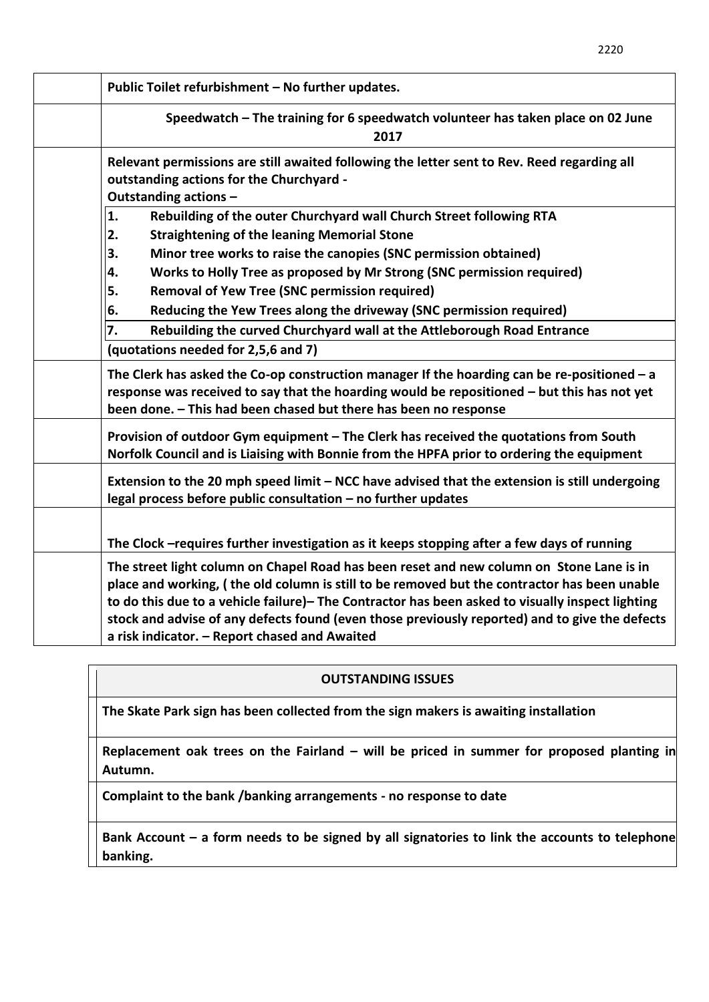| Public Toilet refurbishment - No further updates.                                                                                                                                                                                                                                                                                                                                                                                               |
|-------------------------------------------------------------------------------------------------------------------------------------------------------------------------------------------------------------------------------------------------------------------------------------------------------------------------------------------------------------------------------------------------------------------------------------------------|
| Speedwatch - The training for 6 speedwatch volunteer has taken place on 02 June<br>2017                                                                                                                                                                                                                                                                                                                                                         |
| Relevant permissions are still awaited following the letter sent to Rev. Reed regarding all<br>outstanding actions for the Churchyard -<br>Outstanding actions -                                                                                                                                                                                                                                                                                |
| 1.<br>Rebuilding of the outer Churchyard wall Church Street following RTA                                                                                                                                                                                                                                                                                                                                                                       |
| 2.<br><b>Straightening of the leaning Memorial Stone</b>                                                                                                                                                                                                                                                                                                                                                                                        |
| Minor tree works to raise the canopies (SNC permission obtained)<br>3.                                                                                                                                                                                                                                                                                                                                                                          |
| Works to Holly Tree as proposed by Mr Strong (SNC permission required)<br>4.                                                                                                                                                                                                                                                                                                                                                                    |
| <b>Removal of Yew Tree (SNC permission required)</b><br>5.                                                                                                                                                                                                                                                                                                                                                                                      |
| Reducing the Yew Trees along the driveway (SNC permission required)<br>6.                                                                                                                                                                                                                                                                                                                                                                       |
| Rebuilding the curved Churchyard wall at the Attleborough Road Entrance<br>7.                                                                                                                                                                                                                                                                                                                                                                   |
| (quotations needed for 2,5,6 and 7)                                                                                                                                                                                                                                                                                                                                                                                                             |
| The Clerk has asked the Co-op construction manager If the hoarding can be re-positioned $-$ a<br>response was received to say that the hoarding would be repositioned - but this has not yet<br>been done. - This had been chased but there has been no response                                                                                                                                                                                |
| Provision of outdoor Gym equipment - The Clerk has received the quotations from South<br>Norfolk Council and is Liaising with Bonnie from the HPFA prior to ordering the equipment                                                                                                                                                                                                                                                              |
| Extension to the 20 mph speed limit - NCC have advised that the extension is still undergoing<br>legal process before public consultation - no further updates                                                                                                                                                                                                                                                                                  |
| The Clock - requires further investigation as it keeps stopping after a few days of running                                                                                                                                                                                                                                                                                                                                                     |
| The street light column on Chapel Road has been reset and new column on Stone Lane is in<br>place and working, (the old column is still to be removed but the contractor has been unable<br>to do this due to a vehicle failure)- The Contractor has been asked to visually inspect lighting<br>stock and advise of any defects found (even those previously reported) and to give the defects<br>a risk indicator. - Report chased and Awaited |

# **OUTSTANDING ISSUES**

**The Skate Park sign has been collected from the sign makers is awaiting installation** 

**Replacement oak trees on the Fairland – will be priced in summer for proposed planting in Autumn.** 

**Complaint to the bank /banking arrangements - no response to date** 

**Bank Account – a form needs to be signed by all signatories to link the accounts to telephone banking.**